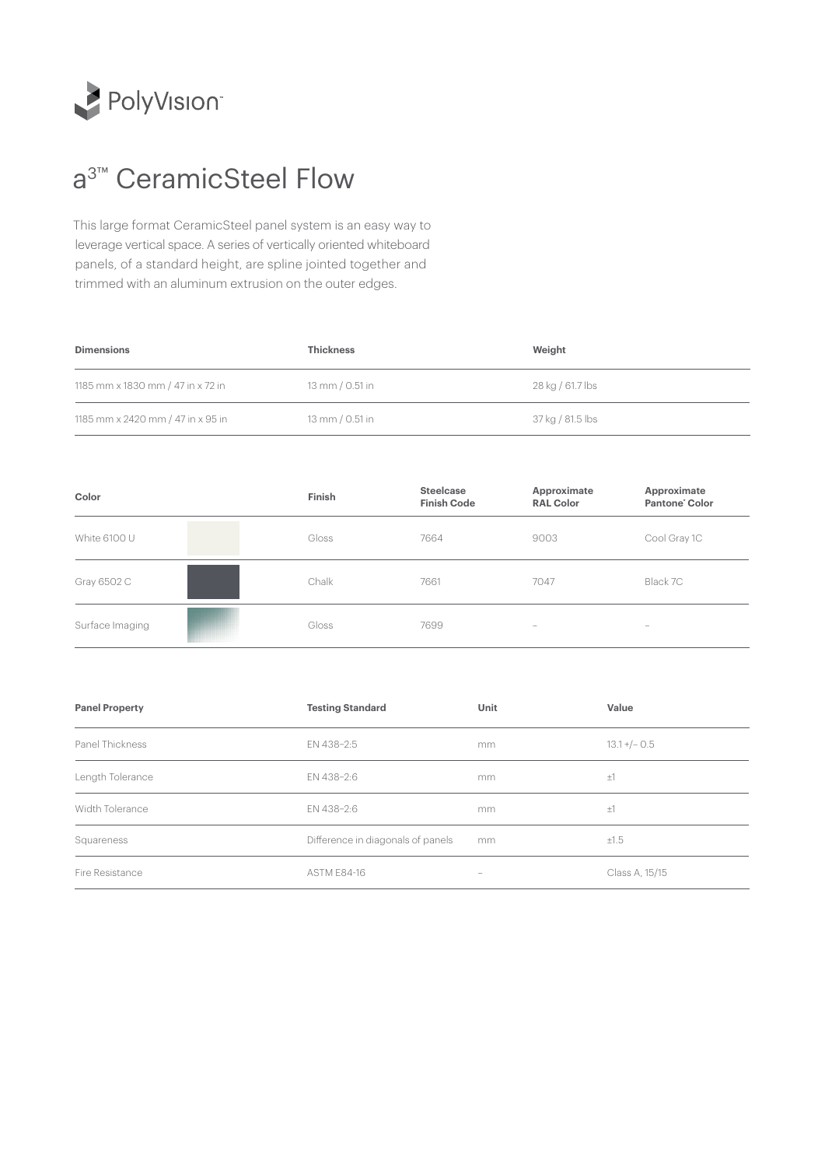

## a<sup>3™</sup> CeramicSteel Flow

This large format CeramicSteel panel system is an easy way to leverage vertical space. A series of vertically oriented whiteboard panels, of a standard height, are spline jointed together and trimmed with an aluminum extrusion on the outer edges.

| <b>Dimensions</b>                 | <b>Thickness</b> | Weight           |
|-----------------------------------|------------------|------------------|
| 1185 mm x 1830 mm / 47 in x 72 in | 13 mm / 0.51 in  | 28 kg / 61.7 lbs |
| 1185 mm x 2420 mm / 47 in x 95 in | 13 mm / 0.51 in  | 37 kg / 81.5 lbs |

| Color           | Finish | Steelcase<br><b>Finish Code</b> | Approximate<br><b>RAL Color</b> | Approximate<br>Pantone' Color                                             |
|-----------------|--------|---------------------------------|---------------------------------|---------------------------------------------------------------------------|
| White 6100 U    | Gloss  | 7664                            | 9003                            | Cool Gray 1C                                                              |
| Gray 6502 C     | Chalk  | 7661                            | 7047                            | Black 7C                                                                  |
| Surface Imaging | Gloss  | 7699                            | $\overline{\phantom{0}}$        | $\hspace{1.0cm} \rule{1.5cm}{0.15cm} \hspace{1.0cm} \rule{1.5cm}{0.15cm}$ |

| <b>Panel Property</b> | <b>Testing Standard</b>           | Unit | Value            |
|-----------------------|-----------------------------------|------|------------------|
| Panel Thickness       | EN 438-2:5                        | mm.  | $13.1 + / - 0.5$ |
| Length Tolerance      | EN 438-2:6                        | mm   | ±1               |
| Width Tolerance       | EN 438-2:6                        | mm   | ±1               |
| Squareness            | Difference in diagonals of panels | mm   | ±1.5             |
| Fire Resistance       | <b>ASTM E84-16</b>                | -    | Class A, 15/15   |